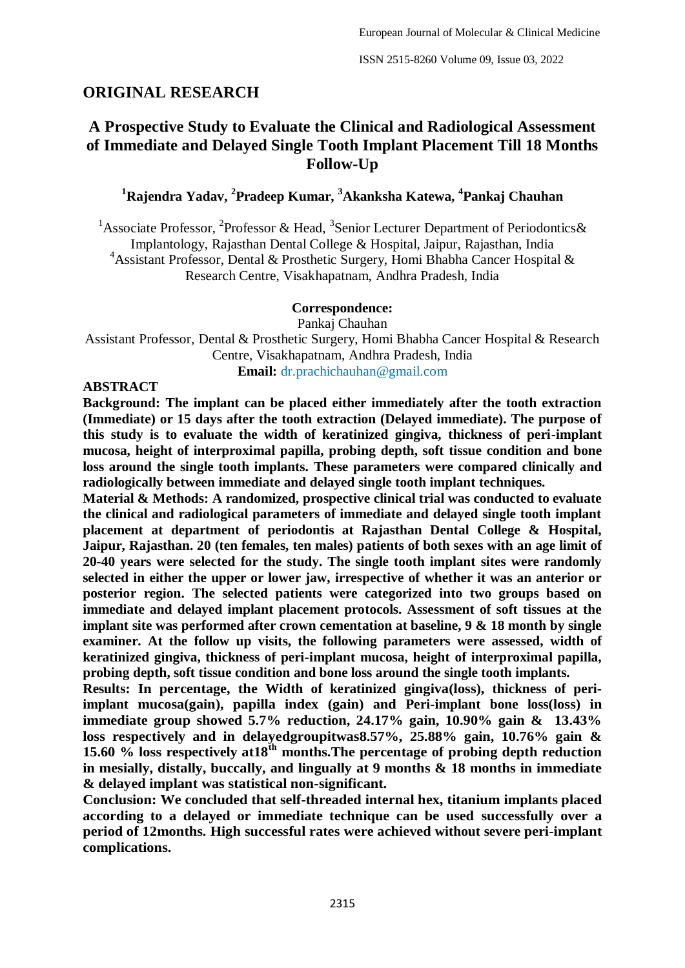# **ORIGINAL RESEARCH**

# **A Prospective Study to Evaluate the Clinical and Radiological Assessment of Immediate and Delayed Single Tooth Implant Placement Till 18 Months Follow-Up**

**<sup>1</sup>Rajendra Yadav, 2 Pradeep Kumar, <sup>3</sup>Akanksha Katewa, <sup>4</sup> Pankaj Chauhan**

<sup>1</sup>Associate Professor, <sup>2</sup>Professor & Head, <sup>3</sup>Senior Lecturer Department of Periodontics& Implantology, Rajasthan Dental College & Hospital, Jaipur, Rajasthan, India <sup>4</sup> Assistant Professor, Dental & Prosthetic Surgery, Homi Bhabha Cancer Hospital & Research Centre, Visakhapatnam, Andhra Pradesh, India

#### **Correspondence:**

Pankaj Chauhan

Assistant Professor, Dental & Prosthetic Surgery, Homi Bhabha Cancer Hospital & Research Centre, Visakhapatnam, Andhra Pradesh, India

**Email:** dr.prachichauhan@gmail.com

#### **ABSTRACT**

**Background: The implant can be placed either immediately after the tooth extraction (Immediate) or 15 days after the tooth extraction (Delayed immediate). The purpose of this study is to evaluate the width of keratinized gingiva, thickness of peri-implant mucosa, height of interproximal papilla, probing depth, soft tissue condition and bone loss around the single tooth implants. These parameters were compared clinically and radiologically between immediate and delayed single tooth implant techniques.**

**Material & Methods: A randomized, prospective clinical trial was conducted to evaluate the clinical and radiological parameters of immediate and delayed single tooth implant placement at department of periodontis at Rajasthan Dental College & Hospital, Jaipur, Rajasthan. 20 (ten females, ten males) patients of both sexes with an age limit of 20-40 years were selected for the study. The single tooth implant sites were randomly selected in either the upper or lower jaw, irrespective of whether it was an anterior or posterior region. The selected patients were categorized into two groups based on immediate and delayed implant placement protocols. Assessment of soft tissues at the implant site was performed after crown cementation at baseline, 9 & 18 month by single examiner. At the follow up visits, the following parameters were assessed, width of keratinized gingiva, thickness of peri-implant mucosa, height of interproximal papilla, probing depth, soft tissue condition and bone loss around the single tooth implants.**

**Results: In percentage, the Width of keratinized gingiva(loss), thickness of periimplant mucosa(gain), papilla index (gain) and Peri-implant bone loss(loss) in immediate group showed 5.7% reduction, 24.17% gain, 10.90% gain & 13.43% loss respectively and in delayedgroupitwas8.57%, 25.88% gain, 10.76% gain & 15.60 % loss respectively at18th months.The percentage of probing depth reduction in mesially, distally, buccally, and lingually at 9 months & 18 months in immediate & delayed implant was statistical non-significant.**

**Conclusion: We concluded that self-threaded internal hex, titanium implants placed according to a delayed or immediate technique can be used successfully over a period of 12months. High successful rates were achieved without severe peri-implant complications.**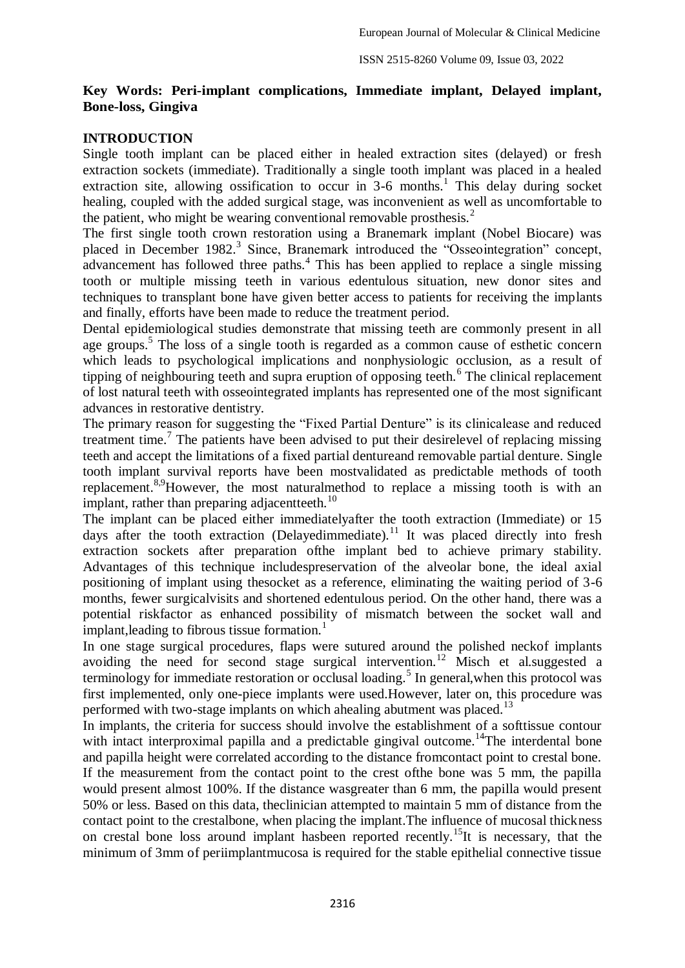# **Key Words: Peri-implant complications, Immediate implant, Delayed implant, Bone-loss, Gingiva**

# **INTRODUCTION**

Single tooth implant can be placed either in healed extraction sites (delayed) or fresh extraction sockets (immediate). Traditionally a single tooth implant was placed in a healed extraction site, allowing ossification to occur in  $3-6$  months.<sup>1</sup> This delay during socket healing, coupled with the added surgical stage, was inconvenient as well as uncomfortable to the patient, who might be wearing conventional removable prosthesis. $<sup>2</sup>$ </sup>

The first single tooth crown restoration using a Branemark implant (Nobel Biocare) was placed in December 1982.<sup>3</sup> Since, Branemark introduced the "Osseointegration" concept, advancement has followed three paths.<sup>4</sup> This has been applied to replace a single missing tooth or multiple missing teeth in various edentulous situation, new donor sites and techniques to transplant bone have given better access to patients for receiving the implants and finally, efforts have been made to reduce the treatment period.

Dental epidemiological studies demonstrate that missing teeth are commonly present in all age groups.<sup>5</sup> The loss of a single tooth is regarded as a common cause of esthetic concern which leads to psychological implications and nonphysiologic occlusion, as a result of tipping of neighbouring teeth and supra eruption of opposing teeth.<sup>6</sup> The clinical replacement of lost natural teeth with osseointegrated implants has represented one of the most significant advances in restorative dentistry.

The primary reason for suggesting the "Fixed Partial Denture" is its clinicalease and reduced treatment time.<sup>7</sup> The patients have been advised to put their desirelevel of replacing missing teeth and accept the limitations of a fixed partial dentureand removable partial denture. Single tooth implant survival reports have been mostvalidated as predictable methods of tooth replacement.8,9However, the most naturalmethod to replace a missing tooth is with an implant, rather than preparing adjacent teeth.<sup>10</sup>

The implant can be placed either immediatelyafter the tooth extraction (Immediate) or 15 days after the tooth extraction (Delayedimmediate).<sup>11</sup> It was placed directly into fresh extraction sockets after preparation ofthe implant bed to achieve primary stability. Advantages of this technique includespreservation of the alveolar bone, the ideal axial positioning of implant using thesocket as a reference, eliminating the waiting period of 3-6 months, fewer surgicalvisits and shortened edentulous period. On the other hand, there was a potential riskfactor as enhanced possibility of mismatch between the socket wall and implant, leading to fibrous tissue formation.<sup>1</sup>

In one stage surgical procedures, flaps were sutured around the polished neckof implants avoiding the need for second stage surgical intervention.<sup>12</sup> Misch et al.suggested a terminology for immediate restoration or occlusal loading.<sup>5</sup> In general, when this protocol was first implemented, only one-piece implants were used.However, later on, this procedure was performed with two-stage implants on which ahealing abutment was placed.<sup>13</sup>

In implants, the criteria for success should involve the establishment of a softtissue contour with intact interproximal papilla and a predictable gingival outcome.<sup>14</sup>The interdental bone and papilla height were correlated according to the distance fromcontact point to crestal bone. If the measurement from the contact point to the crest ofthe bone was 5 mm, the papilla would present almost 100%. If the distance wasgreater than 6 mm, the papilla would present 50% or less. Based on this data, theclinician attempted to maintain 5 mm of distance from the contact point to the crestalbone, when placing the implant.The influence of mucosal thickness on crestal bone loss around implant hasbeen reported recently.<sup>15</sup>It is necessary, that the minimum of 3mm of periimplantmucosa is required for the stable epithelial connective tissue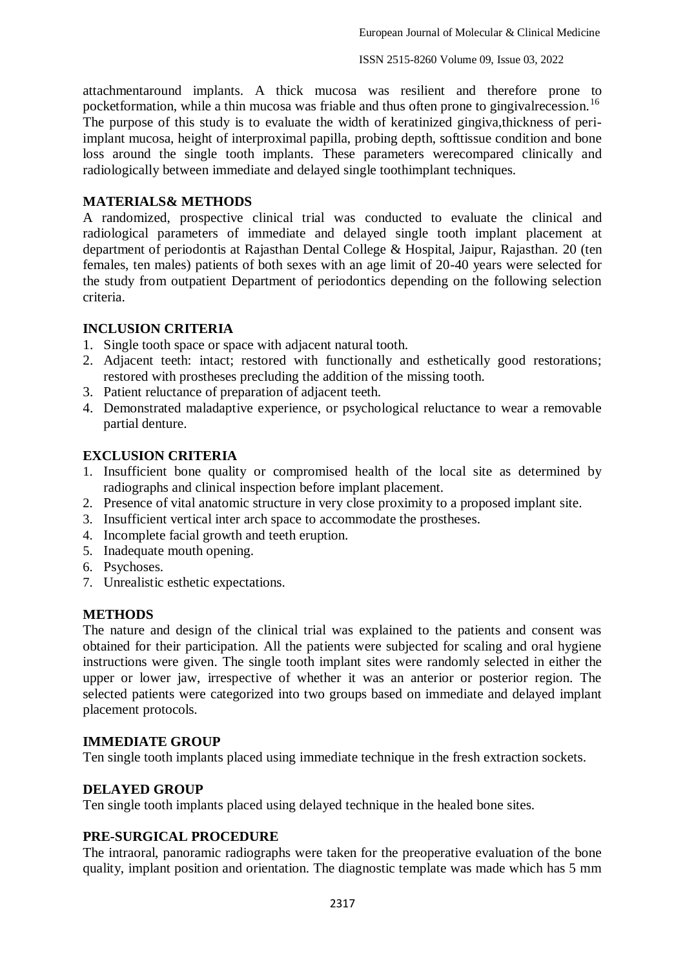attachmentaround implants. A thick mucosa was resilient and therefore prone to pocketformation, while a thin mucosa was friable and thus often prone to gingival recession.<sup>16</sup> The purpose of this study is to evaluate the width of keratinized gingiva,thickness of periimplant mucosa, height of interproximal papilla, probing depth, softtissue condition and bone loss around the single tooth implants. These parameters were compared clinically and radiologically between immediate and delayed single toothimplant techniques.

#### **MATERIALS& METHODS**

A randomized, prospective clinical trial was conducted to evaluate the clinical and radiological parameters of immediate and delayed single tooth implant placement at department of periodontis at Rajasthan Dental College & Hospital, Jaipur, Rajasthan. 20 (ten females, ten males) patients of both sexes with an age limit of 20-40 years were selected for the study from outpatient Department of periodontics depending on the following selection criteria.

# **INCLUSION CRITERIA**

- 1. Single tooth space or space with adjacent natural tooth.
- 2. Adjacent teeth: intact; restored with functionally and esthetically good restorations; restored with prostheses precluding the addition of the missing tooth.
- 3. Patient reluctance of preparation of adjacent teeth.
- 4. Demonstrated maladaptive experience, or psychological reluctance to wear a removable partial denture.

# **EXCLUSION CRITERIA**

- 1. Insufficient bone quality or compromised health of the local site as determined by radiographs and clinical inspection before implant placement.
- 2. Presence of vital anatomic structure in very close proximity to a proposed implant site.
- 3. Insufficient vertical inter arch space to accommodate the prostheses.
- 4. Incomplete facial growth and teeth eruption.
- 5. Inadequate mouth opening.
- 6. Psychoses.
- 7. Unrealistic esthetic expectations.

#### **METHODS**

The nature and design of the clinical trial was explained to the patients and consent was obtained for their participation. All the patients were subjected for scaling and oral hygiene instructions were given. The single tooth implant sites were randomly selected in either the upper or lower jaw, irrespective of whether it was an anterior or posterior region. The selected patients were categorized into two groups based on immediate and delayed implant placement protocols.

#### **IMMEDIATE GROUP**

Ten single tooth implants placed using immediate technique in the fresh extraction sockets.

#### **DELAYED GROUP**

Ten single tooth implants placed using delayed technique in the healed bone sites.

### **PRE-SURGICAL PROCEDURE**

The intraoral, panoramic radiographs were taken for the preoperative evaluation of the bone quality, implant position and orientation. The diagnostic template was made which has 5 mm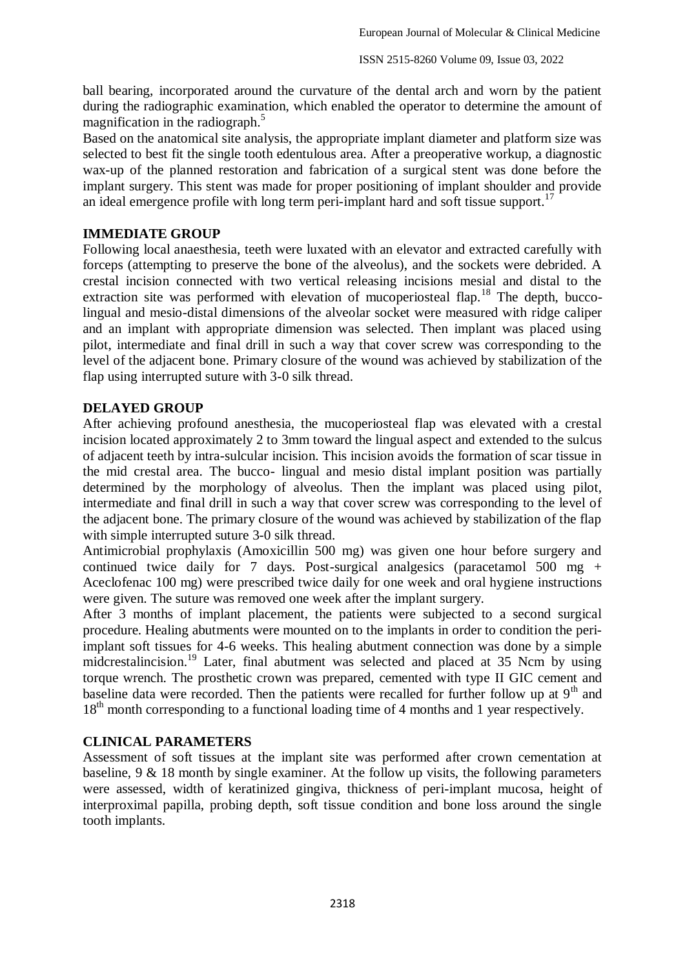ball bearing, incorporated around the curvature of the dental arch and worn by the patient during the radiographic examination, which enabled the operator to determine the amount of magnification in the radiograph. 5

Based on the anatomical site analysis, the appropriate implant diameter and platform size was selected to best fit the single tooth edentulous area. After a preoperative workup, a diagnostic wax-up of the planned restoration and fabrication of a surgical stent was done before the implant surgery. This stent was made for proper positioning of implant shoulder and provide an ideal emergence profile with long term peri-implant hard and soft tissue support.<sup>17</sup>

# **IMMEDIATE GROUP**

Following local anaesthesia, teeth were luxated with an elevator and extracted carefully with forceps (attempting to preserve the bone of the alveolus), and the sockets were debrided. A crestal incision connected with two vertical releasing incisions mesial and distal to the extraction site was performed with elevation of mucoperiosteal flap.<sup>18</sup> The depth, buccolingual and mesio-distal dimensions of the alveolar socket were measured with ridge caliper and an implant with appropriate dimension was selected. Then implant was placed using pilot, intermediate and final drill in such a way that cover screw was corresponding to the level of the adjacent bone. Primary closure of the wound was achieved by stabilization of the flap using interrupted suture with 3-0 silk thread.

#### **DELAYED GROUP**

After achieving profound anesthesia, the mucoperiosteal flap was elevated with a crestal incision located approximately 2 to 3mm toward the lingual aspect and extended to the sulcus of adjacent teeth by intra-sulcular incision. This incision avoids the formation of scar tissue in the mid crestal area. The bucco- lingual and mesio distal implant position was partially determined by the morphology of alveolus. Then the implant was placed using pilot, intermediate and final drill in such a way that cover screw was corresponding to the level of the adjacent bone. The primary closure of the wound was achieved by stabilization of the flap with simple interrupted suture 3-0 silk thread.

Antimicrobial prophylaxis (Amoxicillin 500 mg) was given one hour before surgery and continued twice daily for 7 days. Post-surgical analgesics (paracetamol 500 mg + Aceclofenac 100 mg) were prescribed twice daily for one week and oral hygiene instructions were given. The suture was removed one week after the implant surgery.

After 3 months of implant placement, the patients were subjected to a second surgical procedure. Healing abutments were mounted on to the implants in order to condition the periimplant soft tissues for 4-6 weeks. This healing abutment connection was done by a simple midcrestalincision.<sup>19</sup> Later, final abutment was selected and placed at 35 Ncm by using torque wrench. The prosthetic crown was prepared, cemented with type II GIC cement and baseline data were recorded. Then the patients were recalled for further follow up at  $9<sup>th</sup>$  and 18<sup>th</sup> month corresponding to a functional loading time of 4 months and 1 year respectively.

#### **CLINICAL PARAMETERS**

Assessment of soft tissues at the implant site was performed after crown cementation at baseline, 9 & 18 month by single examiner. At the follow up visits, the following parameters were assessed, width of keratinized gingiva, thickness of peri-implant mucosa, height of interproximal papilla, probing depth, soft tissue condition and bone loss around the single tooth implants.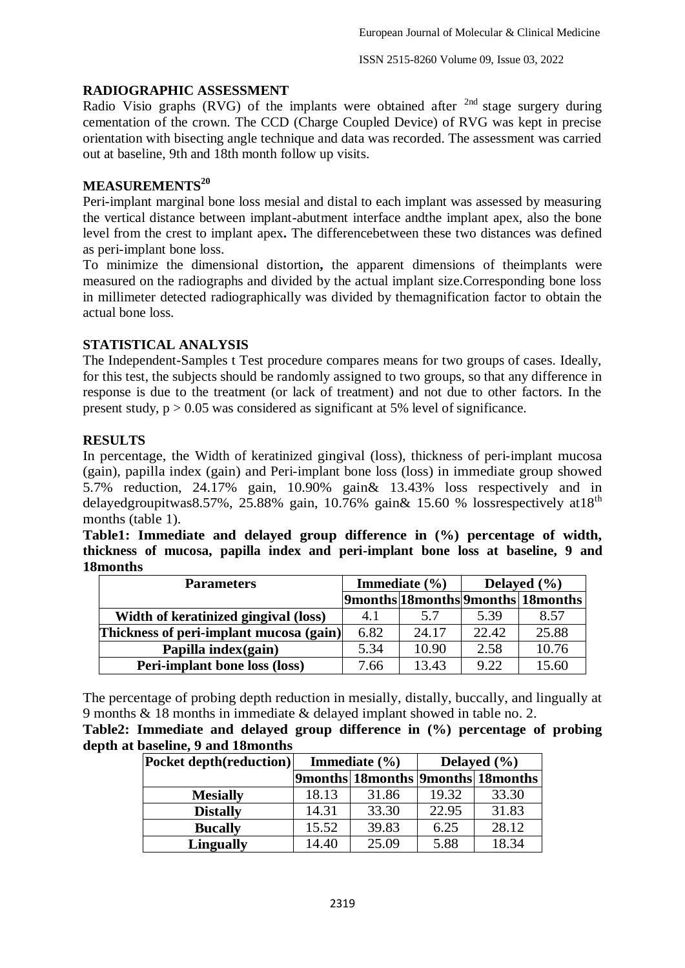# **RADIOGRAPHIC ASSESSMENT**

Radio Visio graphs (RVG) of the implants were obtained after <sup>2nd</sup> stage surgery during cementation of the crown. The CCD (Charge Coupled Device) of RVG was kept in precise orientation with bisecting angle technique and data was recorded. The assessment was carried out at baseline, 9th and 18th month follow up visits.

# **MEASUREMENTS<sup>20</sup>**

Peri-implant marginal bone loss mesial and distal to each implant was assessed by measuring the vertical distance between implant-abutment interface andthe implant apex, also the bone level from the crest to implant apex**.** The differencebetween these two distances was defined as peri-implant bone loss.

To minimize the dimensional distortion**,** the apparent dimensions of theimplants were measured on the radiographs and divided by the actual implant size.Corresponding bone loss in millimeter detected radiographically was divided by themagnification factor to obtain the actual bone loss.

# **STATISTICAL ANALYSIS**

The Independent-Samples t Test procedure compares means for two groups of cases. Ideally, for this test, the subjects should be randomly assigned to two groups, so that any difference in response is due to the treatment (or lack of treatment) and not due to other factors. In the present study,  $p > 0.05$  was considered as significant at 5% level of significance.

# **RESULTS**

In percentage, the Width of keratinized gingival (loss), thickness of peri-implant mucosa (gain), papilla index (gain) and Peri-implant bone loss (loss) in immediate group showed 5.7% reduction, 24.17% gain, 10.90% gain& 13.43% loss respectively and in delayedgroupitwas8.57%, 25.88% gain, 10.76% gain $\&$  15.60 % lossrespectively at 18<sup>th</sup> months (table 1).

**Table1: Immediate and delayed group difference in (%) percentage of width, thickness of mucosa, papilla index and peri-implant bone loss at baseline, 9 and 18months**

| <b>Parameters</b>                       | Immediate $(\% )$ |       | Delayed $(\% )$ |                                   |
|-----------------------------------------|-------------------|-------|-----------------|-----------------------------------|
|                                         |                   |       |                 | 9months 18months 9months 18months |
| Width of keratinized gingival (loss)    | 4.1               | 5.7   | 5.39            | 8.57                              |
| Thickness of peri-implant mucosa (gain) | 6.82              | 24.17 | 22.42           | 25.88                             |
| Papilla index(gain)                     | 5.34              | 10.90 | 2.58            | 10.76                             |
| <b>Peri-implant bone loss (loss)</b>    | 7.66              | 13.43 | 9.22            | 15.60                             |

The percentage of probing depth reduction in mesially, distally, buccally, and lingually at 9 months & 18 months in immediate & delayed implant showed in table no. 2.

**Table2: Immediate and delayed group difference in (%) percentage of probing depth at baseline, 9 and 18months**

| <b>Pocket depth(reduction)</b> |       | Immediate $(\% )$ | Delayed $(\% )$ |                                   |  |
|--------------------------------|-------|-------------------|-----------------|-----------------------------------|--|
|                                |       |                   |                 | 9months 18months 9months 18months |  |
| <b>Mesially</b>                | 18.13 | 31.86             | 19.32           | 33.30                             |  |
| <b>Distally</b>                | 14.31 | 33.30             | 22.95           | 31.83                             |  |
| <b>Bucally</b>                 | 15.52 | 39.83             | 6.25            | 28.12                             |  |
| <b>Lingually</b>               | 14.40 | 25.09             | 5.88            | 18.34                             |  |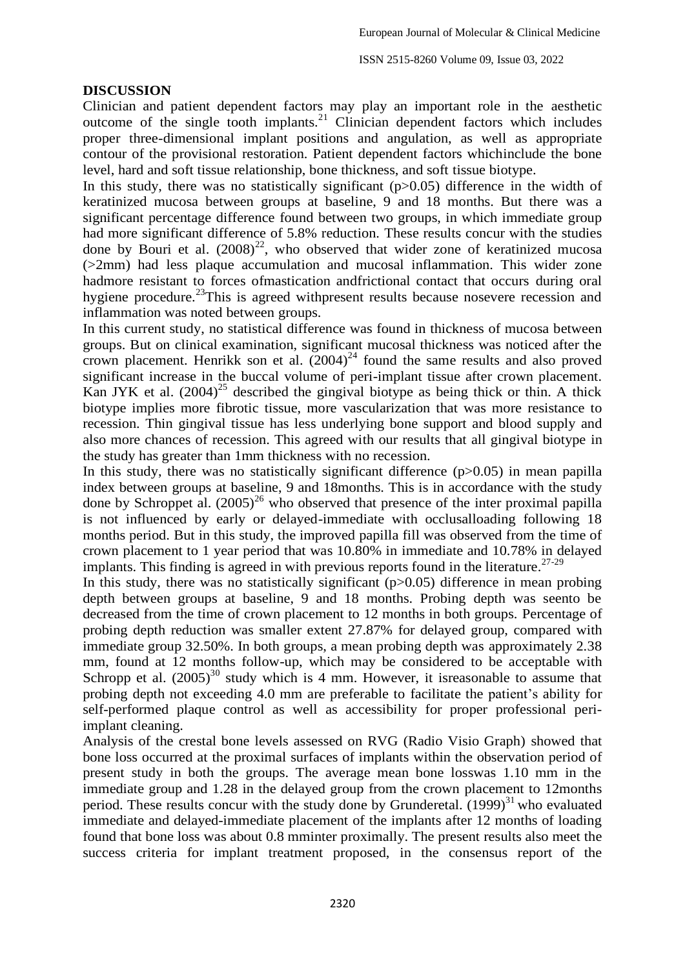### **DISCUSSION**

Clinician and patient dependent factors may play an important role in the aesthetic outcome of the single tooth implants.<sup>21</sup> Clinician dependent factors which includes proper three-dimensional implant positions and angulation, as well as appropriate contour of the provisional restoration. Patient dependent factors whichinclude the bone level, hard and soft tissue relationship, bone thickness, and soft tissue biotype.

In this study, there was no statistically significant  $(p>0.05)$  difference in the width of keratinized mucosa between groups at baseline, 9 and 18 months. But there was a significant percentage difference found between two groups, in which immediate group had more significant difference of 5.8% reduction. These results concur with the studies done by Bouri et al.  $(2008)^{22}$ , who observed that wider zone of keratinized mucosa (>2mm) had less plaque accumulation and mucosal inflammation. This wider zone hadmore resistant to forces ofmastication andfrictional contact that occurs during oral hygiene procedure.<sup>23</sup>This is agreed withpresent results because nosevere recession and inflammation was noted between groups.

In this current study, no statistical difference was found in thickness of mucosa between groups. But on clinical examination, significant mucosal thickness was noticed after the crown placement. Henrikk son et al.  $(2004)^{24}$  found the same results and also proved significant increase in the buccal volume of peri-implant tissue after crown placement. Kan JYK et al.  $(2004)^{25}$  described the gingival biotype as being thick or thin. A thick biotype implies more fibrotic tissue, more vascularization that was more resistance to recession. Thin gingival tissue has less underlying bone support and blood supply and also more chances of recession. This agreed with our results that all gingival biotype in the study has greater than 1mm thickness with no recession.

In this study, there was no statistically significant difference  $(p>0.05)$  in mean papilla index between groups at baseline, 9 and 18months. This is in accordance with the study done by Schroppet al.  $(2005)^{26}$  who observed that presence of the inter proximal papilla is not influenced by early or delayed-immediate with occlusalloading following 18 months period. But in this study, the improved papilla fill was observed from the time of crown placement to 1 year period that was 10.80% in immediate and 10.78% in delayed implants. This finding is agreed in with previous reports found in the literature.<sup>27-29</sup>

In this study, there was no statistically significant  $(p>0.05)$  difference in mean probing depth between groups at baseline, 9 and 18 months. Probing depth was seento be decreased from the time of crown placement to 12 months in both groups. Percentage of probing depth reduction was smaller extent 27.87% for delayed group, compared with immediate group 32.50%. In both groups, a mean probing depth was approximately 2.38 mm, found at 12 months follow-up, which may be considered to be acceptable with Schropp et al.  $(2005)^{30}$  study which is 4 mm. However, it isreasonable to assume that probing depth not exceeding 4.0 mm are preferable to facilitate the patient's ability for self-performed plaque control as well as accessibility for proper professional periimplant cleaning.

Analysis of the crestal bone levels assessed on RVG (Radio Visio Graph) showed that bone loss occurred at the proximal surfaces of implants within the observation period of present study in both the groups. The average mean bone losswas 1.10 mm in the immediate group and 1.28 in the delayed group from the crown placement to 12months period. These results concur with the study done by Grunderetal.  $(1999)^{31}$  who evaluated immediate and delayed-immediate placement of the implants after 12 months of loading found that bone loss was about 0.8 mminter proximally. The present results also meet the success criteria for implant treatment proposed, in the consensus report of the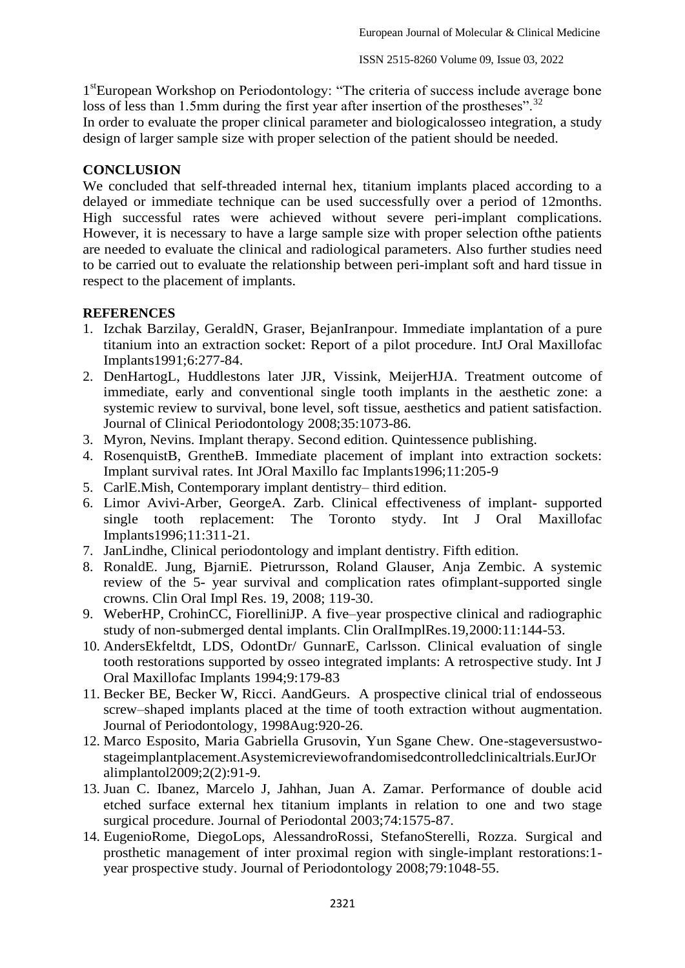1<sup>st</sup>European Workshop on Periodontology: "The criteria of success include average bone loss of less than 1.5mm during the first year after insertion of the prostheses".<sup>32</sup>

In order to evaluate the proper clinical parameter and biologicalosseo integration, a study design of larger sample size with proper selection of the patient should be needed.

# **CONCLUSION**

We concluded that self-threaded internal hex, titanium implants placed according to a delayed or immediate technique can be used successfully over a period of 12months. High successful rates were achieved without severe peri-implant complications. However, it is necessary to have a large sample size with proper selection ofthe patients are needed to evaluate the clinical and radiological parameters. Also further studies need to be carried out to evaluate the relationship between peri-implant soft and hard tissue in respect to the placement of implants.

# **REFERENCES**

- 1. Izchak Barzilay, GeraldN, Graser, BejanIranpour. Immediate implantation of a pure titanium into an extraction socket: Report of a pilot procedure. IntJ Oral Maxillofac Implants1991;6:277-84.
- 2. DenHartogL, Huddlestons later JJR, Vissink, MeijerHJA. Treatment outcome of immediate, early and conventional single tooth implants in the aesthetic zone: a systemic review to survival, bone level, soft tissue, aesthetics and patient satisfaction. Journal of Clinical Periodontology 2008;35:1073-86.
- 3. Myron, Nevins. Implant therapy. Second edition. Quintessence publishing.
- 4. RosenquistB, GrentheB. Immediate placement of implant into extraction sockets: Implant survival rates. Int JOral Maxillo fac Implants1996;11:205-9
- 5. CarlE.Mish, Contemporary implant dentistry– third edition.
- 6. Limor Avivi-Arber, GeorgeA. Zarb. Clinical effectiveness of implant- supported single tooth replacement: The Toronto stydy. Int J Oral Maxillofac Implants1996;11:311-21.
- 7. JanLindhe, Clinical periodontology and implant dentistry. Fifth edition.
- 8. RonaldE. Jung, BjarniE. Pietrursson, Roland Glauser, Anja Zembic. A systemic review of the 5- year survival and complication rates ofimplant-supported single crowns. Clin Oral Impl Res. 19, 2008; 119-30.
- 9. WeberHP, CrohinCC, FiorelliniJP. A five–year prospective clinical and radiographic study of non-submerged dental implants. Clin OralImplRes.19,2000:11:144-53.
- 10. AndersEkfeltdt, LDS, OdontDr/ GunnarE, Carlsson. Clinical evaluation of single tooth restorations supported by osseo integrated implants: A retrospective study. Int J Oral Maxillofac Implants 1994;9:179-83
- 11. Becker BE, Becker W, Ricci. AandGeurs. A prospective clinical trial of endosseous screw–shaped implants placed at the time of tooth extraction without augmentation. Journal of Periodontology, 1998Aug:920-26.
- 12. Marco Esposito, Maria Gabriella Grusovin, Yun Sgane Chew. One-stageversustwostageimplantplacement.Asystemicreviewofrandomisedcontrolledclinicaltrials.EurJOr alimplantol2009;2(2):91-9.
- 13. Juan C. Ibanez, Marcelo J, Jahhan, Juan A. Zamar. Performance of double acid etched surface external hex titanium implants in relation to one and two stage surgical procedure. Journal of Periodontal 2003;74:1575-87.
- 14. EugenioRome, DiegoLops, AlessandroRossi, StefanoSterelli, Rozza. Surgical and prosthetic management of inter proximal region with single-implant restorations:1 year prospective study. Journal of Periodontology 2008;79:1048-55.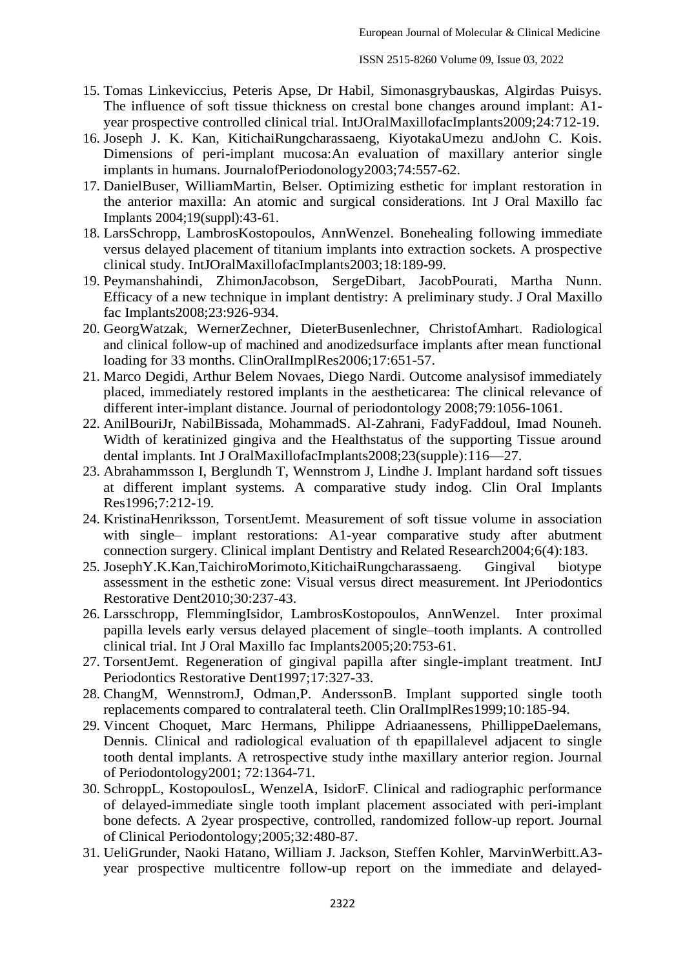- 15. Tomas Linkeviccius, Peteris Apse, Dr Habil, Simonasgrybauskas, Algirdas Puisys. The influence of soft tissue thickness on crestal bone changes around implant: A1 year prospective controlled clinical trial. IntJOralMaxillofacImplants2009;24:712-19.
- 16. Joseph J. K. Kan, KitichaiRungcharassaeng, KiyotakaUmezu andJohn C. Kois. Dimensions of peri-implant mucosa:An evaluation of maxillary anterior single implants in humans. JournalofPeriodonology2003;74:557-62.
- 17. DanielBuser, WilliamMartin, Belser. Optimizing esthetic for implant restoration in the anterior maxilla: An atomic and surgical considerations. Int J Oral Maxillo fac Implants 2004;19(suppl):43-61.
- 18. LarsSchropp, LambrosKostopoulos, AnnWenzel. Bonehealing following immediate versus delayed placement of titanium implants into extraction sockets. A prospective clinical study. IntJOralMaxillofacImplants2003;18:189-99.
- 19. Peymanshahindi, ZhimonJacobson, SergeDibart, JacobPourati, Martha Nunn. Efficacy of a new technique in implant dentistry: A preliminary study. J Oral Maxillo fac Implants2008;23:926-934.
- 20. GeorgWatzak, WernerZechner, DieterBusenlechner, ChristofAmhart. Radiological and clinical follow-up of machined and anodizedsurface implants after mean functional loading for 33 months. ClinOralImplRes2006:17:651-57.
- 21. Marco Degidi, Arthur Belem Novaes, Diego Nardi. Outcome analysisof immediately placed, immediately restored implants in the aestheticarea: The clinical relevance of different inter-implant distance. Journal of periodontology 2008;79:1056-1061.
- 22. AnilBouriJr, NabilBissada, MohammadS. Al-Zahrani, FadyFaddoul, Imad Nouneh. Width of keratinized gingiva and the Healthstatus of the supporting Tissue around dental implants. Int J OralMaxillofacImplants2008;23(supple):116—27.
- 23. Abrahammsson I, Berglundh T, Wennstrom J, Lindhe J. Implant hardand soft tissues at different implant systems. A comparative study indog. Clin Oral Implants Res1996;7:212-19.
- 24. KristinaHenriksson, TorsentJemt. Measurement of soft tissue volume in association with single– implant restorations: A1-year comparative study after abutment connection surgery. Clinical implant Dentistry and Related Research2004;6(4):183.
- 25. JosephY.K.Kan,TaichiroMorimoto,KitichaiRungcharassaeng. Gingival biotype assessment in the esthetic zone: Visual versus direct measurement. Int JPeriodontics Restorative Dent2010;30:237-43.
- 26. Larsschropp, FlemmingIsidor, LambrosKostopoulos, AnnWenzel. Inter proximal papilla levels early versus delayed placement of single–tooth implants. A controlled clinical trial. Int J Oral Maxillo fac Implants2005;20:753-61.
- 27. TorsentJemt. Regeneration of gingival papilla after single-implant treatment. IntJ Periodontics Restorative Dent1997;17:327-33.
- 28. ChangM, WennstromJ, Odman,P. AnderssonB. Implant supported single tooth replacements compared to contralateral teeth. Clin OralImplRes1999;10:185-94.
- 29. Vincent Choquet, Marc Hermans, Philippe Adriaanessens, PhillippeDaelemans, Dennis. Clinical and radiological evaluation of th epapillalevel adjacent to single tooth dental implants. A retrospective study inthe maxillary anterior region. Journal of Periodontology2001; 72:1364-71.
- 30. SchroppL, KostopoulosL, WenzelA, IsidorF. Clinical and radiographic performance of delayed-immediate single tooth implant placement associated with peri-implant bone defects. A 2year prospective, controlled, randomized follow-up report. Journal of Clinical Periodontology;2005;32:480-87.
- 31. UeliGrunder, Naoki Hatano, William J. Jackson, Steffen Kohler, MarvinWerbitt.A3 year prospective multicentre follow-up report on the immediate and delayed-